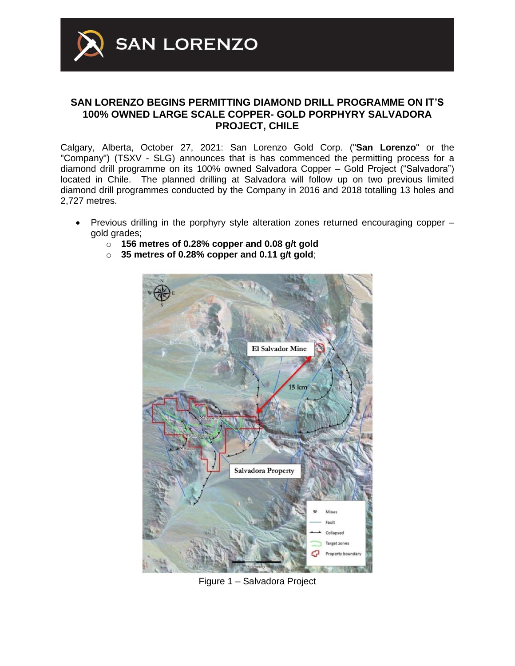

## **SAN LORENZO BEGINS PERMITTING DIAMOND DRILL PROGRAMME ON IT'S 100% OWNED LARGE SCALE COPPER- GOLD PORPHYRY SALVADORA PROJECT, CHILE**

Calgary, Alberta, October 27, 2021: San Lorenzo Gold Corp. ("**San Lorenzo**" or the "Company") (TSXV - SLG) announces that is has commenced the permitting process for a diamond drill programme on its 100% owned Salvadora Copper – Gold Project ("Salvadora") located in Chile. The planned drilling at Salvadora will follow up on two previous limited diamond drill programmes conducted by the Company in 2016 and 2018 totalling 13 holes and 2,727 metres.

- Previous drilling in the porphyry style alteration zones returned encouraging copper gold grades;
	- o **156 metres of 0.28% copper and 0.08 g/t gold**
	- o **35 metres of 0.28% copper and 0.11 g/t gold**;



Figure 1 – Salvadora Project